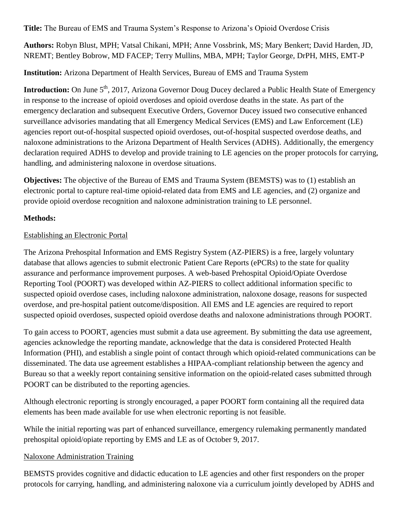**Title:** The Bureau of EMS and Trauma System's Response to Arizona's Opioid Overdose Crisis

**Authors:** Robyn Blust, MPH; Vatsal Chikani, MPH; Anne Vossbrink, MS; Mary Benkert; David Harden, JD, NREMT; Bentley Bobrow, MD FACEP; Terry Mullins, MBA, MPH; Taylor George, DrPH, MHS, EMT-P

**Institution:** Arizona Department of Health Services, Bureau of EMS and Trauma System

**Introduction:** On June 5<sup>th</sup>, 2017, Arizona Governor Doug Ducey [declared](https://azgovernor.gov/sites/default/files/related-docs/opioid_declaration.pdf) a [Public Health State of Emergency](https://azgovernor.gov/governor/news/2017/06/governor-ducey-declares-statewide-emergency-opioid-epidemic) in response to the increase of opioid overdoses and opioid overdose deaths in the state. As part of the emergency declaration and subsequent Executive Orders, Governor Ducey issued two consecutive enhanced surveillance advisories mandating that all Emergency Medical Services (EMS) and Law Enforcement (LE) agencies report out-of-hospital suspected opioid overdoses, out-of-hospital suspected overdose deaths, and naloxone administrations to the Arizona Department of Health Services (ADHS). Additionally, the emergency declaration required ADHS to develop and provide training to LE agencies on the proper protocols for carrying, handling, and administering naloxone in overdose situations.

**Objectives:** The objective of the Bureau of EMS and Trauma System (BEMSTS) was to (1) establish an electronic portal to capture real-time opioid-related data from EMS and LE agencies, and (2) organize and provide opioid overdose recognition and naloxone administration training to LE personnel.

# **Methods:**

# Establishing an Electronic Portal

The Arizona Prehospital Information and EMS Registry System (AZ-PIERS) is a free, largely voluntary database that allows agencies to submit electronic Patient Care Reports (ePCRs) to the state for quality assurance and performance improvement purposes. A web-based Prehospital Opioid/Opiate Overdose Reporting Tool (POORT) was developed within AZ-PIERS to collect additional information specific to suspected opioid overdose cases, including naloxone administration, naloxone dosage, reasons for suspected overdose, and pre-hospital patient outcome/disposition. All EMS and LE agencies are required to report suspected opioid overdoses, suspected opioid overdose deaths and naloxone administrations through POORT.

To gain access to POORT, agencies must submit a data use agreement. By submitting the data use agreement, agencies acknowledge the reporting mandate, acknowledge that the data is considered Protected Health Information (PHI), and establish a single point of contact through which opioid-related communications can be disseminated. The data use agreement establishes a HIPAA-compliant relationship between the agency and Bureau so that a weekly report containing sensitive information on the opioid-related cases submitted through POORT can be distributed to the reporting agencies.

Although electronic reporting is strongly encouraged, a paper POORT form containing all the required data elements has been made available for use when electronic reporting is not feasible.

While the initial reporting was part of enhanced surveillance, emergency rulemaking permanently mandated prehospital opioid/opiate reporting by EMS and LE as of October 9, 2017.

## Naloxone Administration Training

BEMSTS provides cognitive and didactic education to LE agencies and other first responders on the proper protocols for carrying, handling, and administering naloxone via a curriculum jointly developed by ADHS and